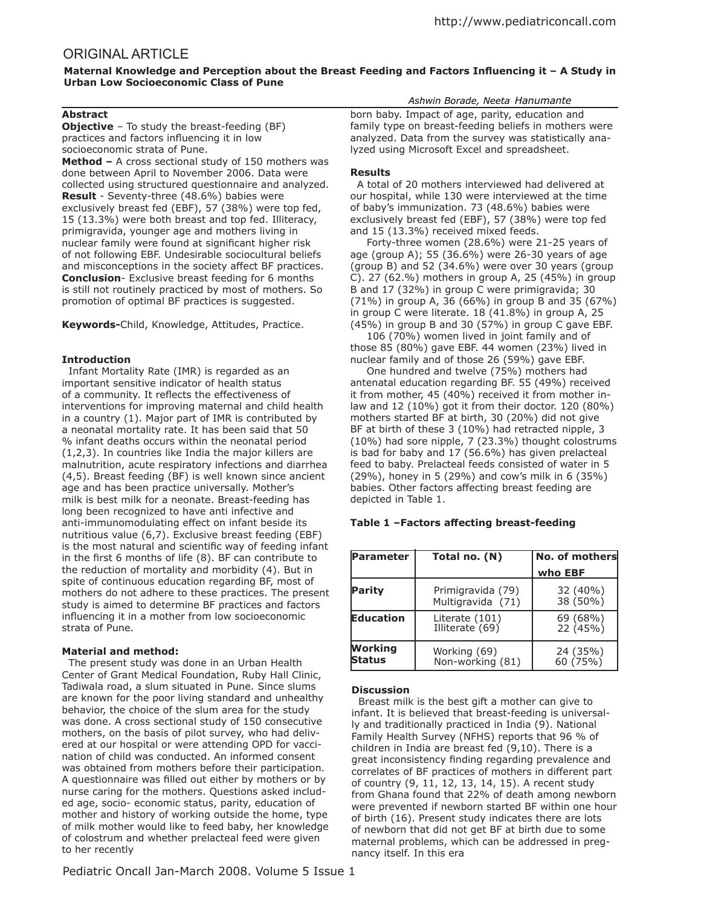# ORIGINAL ARTICLE

Maternal Knowledge and Perception about the Breast Feeding and Factors Influencing it - A Study in **Urban Low Socioeconomic Class of Pune**

# **Abstract**

**Objective** – To study the breast-feeding (BF) practices and factors influencing it in low socioeconomic strata of Pune. **Method –** A cross sectional study of 150 mothers was done between April to November 2006. Data were

collected using structured questionnaire and analyzed. **Result** - Seventy-three (48.6%) babies were exclusively breast fed (EBF), 57 (38%) were top fed, 15 (13.3%) were both breast and top fed. Illiteracy, primigravida, younger age and mothers living in nuclear family were found at significant higher risk of not following EBF. Undesirable sociocultural beliefs and misconceptions in the society afect BF practices. **Conclusion**- Exclusive breast feeding for 6 months is still not routinely practiced by most of mothers. So promotion of optimal BF practices is suggested.

**Keywords-**Child, Knowledge, Attitudes, Practice.

# **Introduction**

 Infant Mortality Rate (IMR) is regarded as an important sensitive indicator of health status of a community. It reflects the effectiveness of interventions for improving maternal and child health in a country (1). Major part of IMR is contributed by a neonatal mortality rate. It has been said that 50 % infant deaths occurs within the neonatal period (1,2,3). In countries like India the major killers are malnutrition, acute respiratory infections and diarrhea (4,5). Breast feeding (BF) is well known since ancient age and has been practice universally. Mother's milk is best milk for a neonate. Breast-feeding has long been recognized to have anti infective and anti-immunomodulating efect on infant beside its nutritious value (6,7). Exclusive breast feeding (EBF) is the most natural and scientific way of feeding infant in the first 6 months of life (8). BF can contribute to the reduction of mortality and morbidity (4). But in spite of continuous education regarding BF, most of mothers do not adhere to these practices. The present study is aimed to determine BF practices and factors influencing it in a mother from low socioeconomic strata of Pune.

# **Material and method:**

 The present study was done in an Urban Health Center of Grant Medical Foundation, Ruby Hall Clinic, Tadiwala road, a slum situated in Pune. Since slums are known for the poor living standard and unhealthy behavior, the choice of the slum area for the study was done. A cross sectional study of 150 consecutive mothers, on the basis of pilot survey, who had delivered at our hospital or were attending OPD for vaccination of child was conducted. An informed consent was obtained from mothers before their participation. A questionnaire was filled out either by mothers or by nurse caring for the mothers. Questions asked included age, socio- economic status, parity, education of mother and history of working outside the home, type of milk mother would like to feed baby, her knowledge of colostrum and whether prelacteal feed were given to her recently

## *Ashwin Borade, Neeta Hanumante*

born baby. Impact of age, parity, education and family type on breast-feeding beliefs in mothers were analyzed. Data from the survey was statistically analyzed using Microsoft Excel and spreadsheet.

## **Results**

 A total of 20 mothers interviewed had delivered at our hospital, while 130 were interviewed at the time of baby's immunization. 73 (48.6%) babies were exclusively breast fed (EBF), 57 (38%) were top fed and 15 (13.3%) received mixed feeds.

Forty-three women (28.6%) were 21-25 years of age (group A); 55 (36.6%) were 26-30 years of age (group B) and 52 (34.6%) were over 30 years (group C). 27 (62.%) mothers in group A, 25 (45%) in group B and 17 (32%) in group C were primigravida; 30 (71%) in group A, 36 (66%) in group B and 35 (67%) in group C were literate. 18 (41.8%) in group A, 25 (45%) in group B and 30 (57%) in group C gave EBF.

106 (70%) women lived in joint family and of those 85 (80%) gave EBF. 44 women (23%) lived in nuclear family and of those 26 (59%) gave EBF.

One hundred and twelve (75%) mothers had antenatal education regarding BF. 55 (49%) received it from mother, 45 (40%) received it from mother inlaw and 12 (10%) got it from their doctor. 120 (80%) mothers started BF at birth, 30 (20%) did not give BF at birth of these 3 (10%) had retracted nipple, 3 (10%) had sore nipple, 7 (23.3%) thought colostrums is bad for baby and 17 (56.6%) has given prelacteal feed to baby. Prelacteal feeds consisted of water in 5 (29%), honey in 5 (29%) and cow's milk in 6 (35%) babies. Other factors afecting breast feeding are depicted in Table 1.

# **Table 1 –Factors afecting breast-feeding**

| <b>Parameter</b>                | Total no. (N)                          | No. of mothers       |
|---------------------------------|----------------------------------------|----------------------|
|                                 |                                        | who EBF              |
| Parity                          | Primigravida (79)<br>Multigravida (71) | 32 (40%)<br>38 (50%) |
| <b>Education</b>                | Literate (101)<br>Illiterate (69)      | 69 (68%)<br>22 (45%) |
| <b>Working</b><br><b>Status</b> | Working (69)<br>Non-working (81)       | 24 (35%)<br>60 (75%) |

## **Discussion**

 Breast milk is the best gift a mother can give to infant. It is believed that breast-feeding is universally and traditionally practiced in India (9). National Family Health Survey (NFHS) reports that 96 % of children in India are breast fed (9,10). There is a great inconsistency finding regarding prevalence and correlates of BF practices of mothers in diferent part of country (9, 11, 12, 13, 14, 15). A recent study from Ghana found that 22% of death among newborn were prevented if newborn started BF within one hour of birth (16). Present study indicates there are lots of newborn that did not get BF at birth due to some maternal problems, which can be addressed in pregnancy itself. In this era